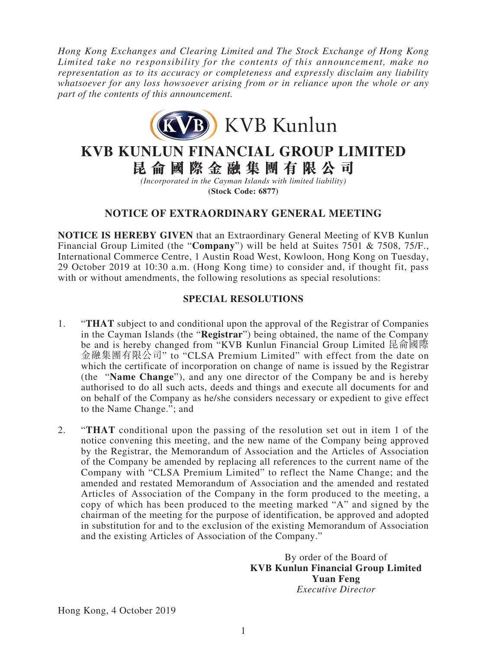*Hong Kong Exchanges and Clearing Limited and The Stock Exchange of Hong Kong Limited take no responsibility for the contents of this announcement, make no representation as to its accuracy or completeness and expressly disclaim any liability whatsoever for any loss howsoever arising from or in reliance upon the whole or any part of the contents of this announcement.*



**KVB KUNLUN FINANCIAL GROUP LIMITED**

**昆侖國際金融集團有限公司**

*(Incorporated in the Cayman Islands with limited liability)* **(Stock Code: 6877)**

# **NOTICE OF EXTRAORDINARY GENERAL MEETING**

**NOTICE IS HEREBY GIVEN** that an Extraordinary General Meeting of KVB Kunlun Financial Group Limited (the "**Company**") will be held at Suites 7501 & 7508, 75/F., International Commerce Centre, 1 Austin Road West, Kowloon, Hong Kong on Tuesday, 29 October 2019 at 10:30 a.m. (Hong Kong time) to consider and, if thought fit, pass with or without amendments, the following resolutions as special resolutions:

## **SPECIAL RESOLUTIONS**

- 1. "**THAT** subject to and conditional upon the approval of the Registrar of Companies in the Cayman Islands (the "**Registrar**") being obtained, the name of the Company be and is hereby changed from "KVB Kunlun Financial Group Limited 昆侖國際 金融集團有限公司" to "CLSA Premium Limited" with effect from the date on which the certificate of incorporation on change of name is issued by the Registrar (the "**Name Change**"), and any one director of the Company be and is hereby authorised to do all such acts, deeds and things and execute all documents for and on behalf of the Company as he/she considers necessary or expedient to give effect to the Name Change."; and
- 2. "**THAT** conditional upon the passing of the resolution set out in item 1 of the notice convening this meeting, and the new name of the Company being approved by the Registrar, the Memorandum of Association and the Articles of Association of the Company be amended by replacing all references to the current name of the Company with "CLSA Premium Limited" to reflect the Name Change; and the amended and restated Memorandum of Association and the amended and restated Articles of Association of the Company in the form produced to the meeting, a copy of which has been produced to the meeting marked "A" and signed by the chairman of the meeting for the purpose of identification, be approved and adopted in substitution for and to the exclusion of the existing Memorandum of Association and the existing Articles of Association of the Company."

By order of the Board of **KVB Kunlun Financial Group Limited Yuan Feng** *Executive Director*

Hong Kong, 4 October 2019